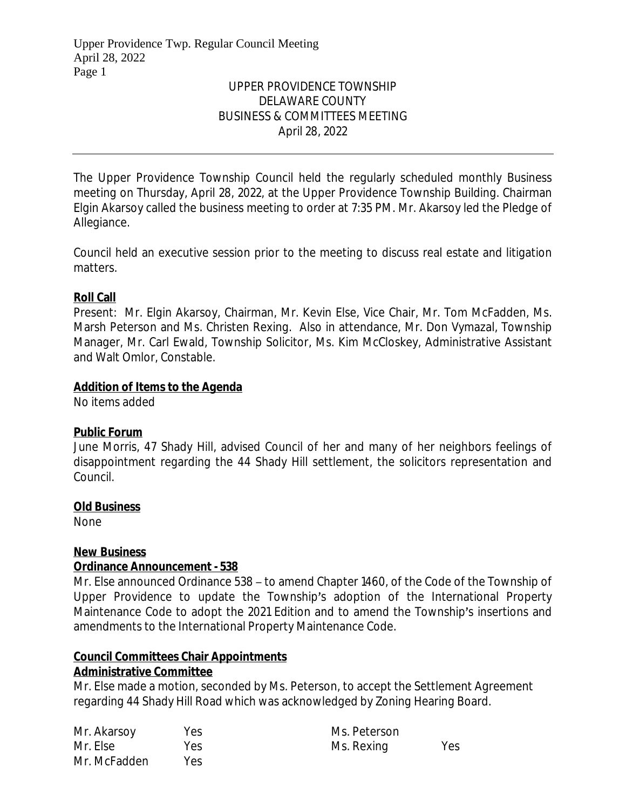# UPPER PROVIDENCE TOWNSHIP DELAWARE COUNTY BUSINESS & COMMITTEES MEETING April 28, 2022

The Upper Providence Township Council held the regularly scheduled monthly Business meeting on Thursday, April 28, 2022, at the Upper Providence Township Building. Chairman Elgin Akarsoy called the business meeting to order at 7:35 PM. Mr. Akarsoy led the Pledge of Allegiance.

Council held an executive session prior to the meeting to discuss real estate and litigation matters.

# **Roll Call**

Present: Mr. Elgin Akarsoy, Chairman, Mr. Kevin Else, Vice Chair, Mr. Tom McFadden, Ms. Marsh Peterson and Ms. Christen Rexing. Also in attendance, Mr. Don Vymazal, Township Manager, Mr. Carl Ewald, Township Solicitor, Ms. Kim McCloskey, Administrative Assistant and Walt Omlor, Constable.

### **Addition of Items to the Agenda**

No items added

### **Public Forum**

June Morris, 47 Shady Hill, advised Council of her and many of her neighbors feelings of disappointment regarding the 44 Shady Hill settlement, the solicitors representation and Council.

### **Old Business**

None

### **New Business**

### **Ordinance Announcement - 538**

Mr. Else announced Ordinance 538 – to amend Chapter 1460, of the Code of the Township of Upper Providence to update the Township's adoption of the International Property Maintenance Code to adopt the 2021 Edition and to amend the Township's insertions and amendments to the International Property Maintenance Code.

# **Council Committees Chair Appointments**

### **Administrative Committee**

Mr. Else made a motion, seconded by Ms. Peterson, to accept the Settlement Agreement regarding 44 Shady Hill Road which was acknowledged by Zoning Hearing Board.

| Mr. Akarsoy  | Yes  | Ms. Peterson |     |
|--------------|------|--------------|-----|
| Mr. Else     | Yes. | Ms. Rexing   | Yes |
| Mr. McFadden | Yes. |              |     |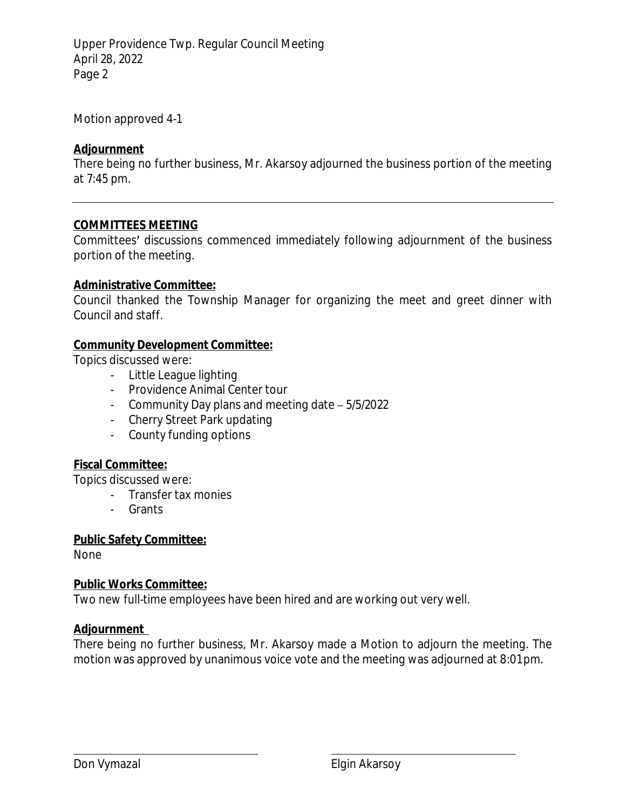Upper Providence Twp. Regular Council Meeting April 28, 2022 Page 2

Motion approved 4-1

# **Adjournment**

There being no further business, Mr. Akarsoy adjourned the business portion of the meeting at 7:45 pm.

### **COMMITTEES MEETING**

Committees' discussions commenced immediately following adjournment of the business portion of the meeting.

### **Administrative Committee:**

Council thanked the Township Manager for organizing the meet and greet dinner with Council and staff.

# **Community Development Committee:**

Topics discussed were:

- Little League lighting
- Providence Animal Center tour
- Community Day plans and meeting date 5/5/2022
- Cherry Street Park updating
- County funding options

# **Fiscal Committee:**

Topics discussed were:

- Transfer tax monies
- Grants

# **Public Safety Committee:**

None

# **Public Works Committee:**

Two new full-time employees have been hired and are working out very well.

# **Adjournment**

There being no further business, Mr. Akarsoy made a Motion to adjourn the meeting. The motion was approved by unanimous voice vote and the meeting was adjourned at 8:01 pm.

 $\overline{a}$